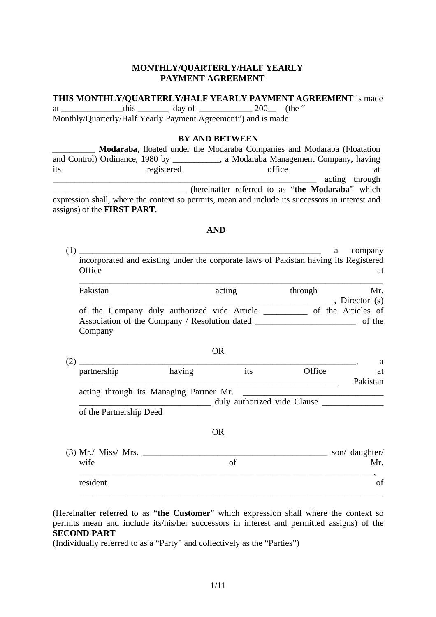#### **MONTHLY/QUARTERLY/HALF YEARLY PAYMENT AGREEMENT**

#### **THIS MONTHLY/QUARTERLY/HALF YEARLY PAYMENT AGREEMENT** is made

at this day of 200 (the " Monthly/Quarterly/Half Yearly Payment Agreement") and is made

#### **BY AND BETWEEN**

|                                     | Modaraba, floated under the Modaraba Companies and Modaraba (Floatation                         |                                                  |                |
|-------------------------------------|-------------------------------------------------------------------------------------------------|--------------------------------------------------|----------------|
|                                     | and Control) Ordinance, 1980 by ___________, a Modaraba Management Company, having              |                                                  |                |
| its                                 | registered                                                                                      | office                                           | at             |
|                                     |                                                                                                 |                                                  | acting through |
|                                     |                                                                                                 | (hereinafter referred to as "the Modaraba" which |                |
|                                     | expression shall, where the context so permits, mean and include its successors in interest and |                                                  |                |
| assigns) of the <b>FIRST PART</b> . |                                                                                                 |                                                  |                |

#### **AND**

(1) \_\_\_\_\_\_\_\_\_\_\_\_\_\_\_\_\_\_\_\_\_\_\_\_\_\_\_\_\_\_\_\_\_\_\_\_\_\_\_\_\_\_\_\_\_\_\_\_\_\_\_\_\_\_\_ a company incorporated and existing under the corporate laws of Pakistan having its Registered Office at a strategies of the strategies of the strategies and a strategies of the strategies are at a strategies of the strategies of the strategies of the strategies of the strategies of the strategies of the strategies

| Pakistan                                      | acting | through | Mr.                |
|-----------------------------------------------|--------|---------|--------------------|
|                                               |        |         | Director $(s)$     |
| of the Company duly authorized vide Article   |        |         | of the Articles of |
| Association of the Company / Resolution dated |        |         | of the             |
| Company                                       |        |         |                    |

|             |        | ◡▴◟                     |                                         |                             |
|-------------|--------|-------------------------|-----------------------------------------|-----------------------------|
|             |        |                         |                                         | a                           |
| partnership | having | its                     | Office                                  | at                          |
|             |        |                         |                                         | Pakistan                    |
|             |        |                         |                                         |                             |
|             |        |                         |                                         |                             |
|             |        |                         |                                         |                             |
|             |        | <b>OR</b>               |                                         |                             |
|             |        |                         |                                         | son/ daughter/              |
| wife        |        | of                      |                                         | Mr.                         |
| resident    |        |                         |                                         | of                          |
|             |        | of the Partnership Deed | acting through its Managing Partner Mr. | duly authorized vide Clause |

OR

(Hereinafter referred to as "**the Customer**" which expression shall where the context so permits mean and include its/his/her successors in interest and permitted assigns) of the **SECOND PART** 

(Individually referred to as a "Party" and collectively as the "Parties")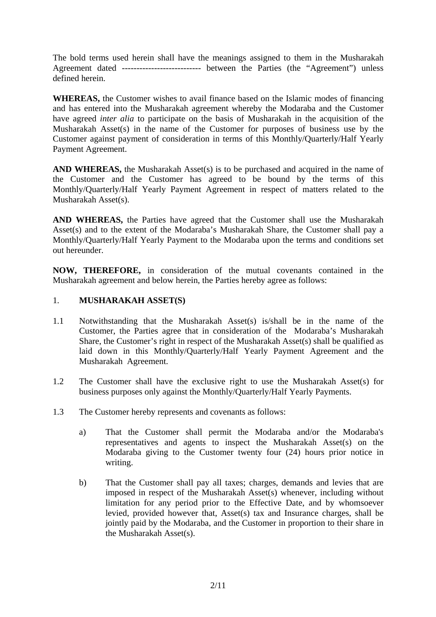The bold terms used herein shall have the meanings assigned to them in the Musharakah Agreement dated --------------------------- between the Parties (the "Agreement") unless defined herein.

**WHEREAS,** the Customer wishes to avail finance based on the Islamic modes of financing and has entered into the Musharakah agreement whereby the Modaraba and the Customer have agreed *inter alia* to participate on the basis of Musharakah in the acquisition of the Musharakah Asset(s) in the name of the Customer for purposes of business use by the Customer against payment of consideration in terms of this Monthly/Quarterly/Half Yearly Payment Agreement.

**AND WHEREAS,** the Musharakah Asset(s) is to be purchased and acquired in the name of the Customer and the Customer has agreed to be bound by the terms of this Monthly/Quarterly/Half Yearly Payment Agreement in respect of matters related to the Musharakah Asset(s).

**AND WHEREAS,** the Parties have agreed that the Customer shall use the Musharakah Asset(s) and to the extent of the Modaraba's Musharakah Share, the Customer shall pay a Monthly/Quarterly/Half Yearly Payment to the Modaraba upon the terms and conditions set out hereunder.

**NOW, THEREFORE,** in consideration of the mutual covenants contained in the Musharakah agreement and below herein, the Parties hereby agree as follows:

#### 1. **MUSHARAKAH ASSET(S)**

- 1.1 Notwithstanding that the Musharakah Asset(s) is/shall be in the name of the Customer, the Parties agree that in consideration of the Modaraba's Musharakah Share, the Customer's right in respect of the Musharakah Asset(s) shall be qualified as laid down in this Monthly/Quarterly/Half Yearly Payment Agreement and the Musharakah Agreement.
- 1.2 The Customer shall have the exclusive right to use the Musharakah Asset(s) for business purposes only against the Monthly/Quarterly/Half Yearly Payments.
- 1.3 The Customer hereby represents and covenants as follows:
	- a) That the Customer shall permit the Modaraba and/or the Modaraba's representatives and agents to inspect the Musharakah Asset(s) on the Modaraba giving to the Customer twenty four (24) hours prior notice in writing.
	- b) That the Customer shall pay all taxes; charges, demands and levies that are imposed in respect of the Musharakah Asset(s) whenever, including without limitation for any period prior to the Effective Date, and by whomsoever levied, provided however that, Asset(s) tax and Insurance charges, shall be jointly paid by the Modaraba, and the Customer in proportion to their share in the Musharakah Asset(s).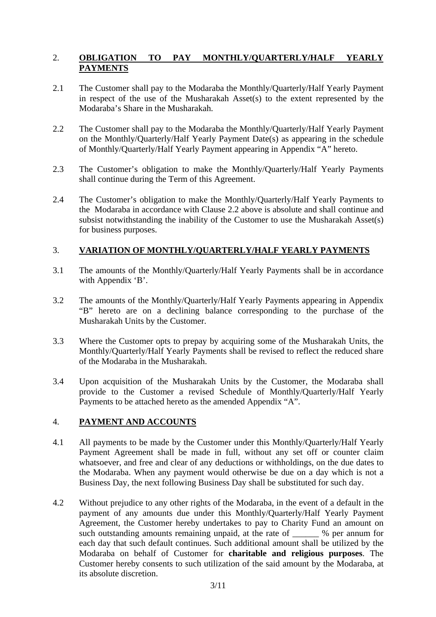# 2. **OBLIGATION TO PAY MONTHLY/QUARTERLY/HALF YEARLY PAYMENTS**

- 2.1 The Customer shall pay to the Modaraba the Monthly/Quarterly/Half Yearly Payment in respect of the use of the Musharakah Asset(s) to the extent represented by the Modaraba's Share in the Musharakah.
- 2.2 The Customer shall pay to the Modaraba the Monthly/Quarterly/Half Yearly Payment on the Monthly/Quarterly/Half Yearly Payment Date(s) as appearing in the schedule of Monthly/Quarterly/Half Yearly Payment appearing in Appendix "A" hereto.
- 2.3 The Customer's obligation to make the Monthly/Quarterly/Half Yearly Payments shall continue during the Term of this Agreement.
- 2.4 The Customer's obligation to make the Monthly/Quarterly/Half Yearly Payments to the Modaraba in accordance with Clause 2.2 above is absolute and shall continue and subsist notwithstanding the inability of the Customer to use the Musharakah Asset(s) for business purposes.

# 3. **VARIATION OF MONTHLY/QUARTERLY/HALF YEARLY PAYMENTS**

- 3.1 The amounts of the Monthly/Quarterly/Half Yearly Payments shall be in accordance with Appendix 'B'.
- 3.2 The amounts of the Monthly/Quarterly/Half Yearly Payments appearing in Appendix "B" hereto are on a declining balance corresponding to the purchase of the Musharakah Units by the Customer.
- 3.3 Where the Customer opts to prepay by acquiring some of the Musharakah Units, the Monthly/Quarterly/Half Yearly Payments shall be revised to reflect the reduced share of the Modaraba in the Musharakah.
- 3.4 Upon acquisition of the Musharakah Units by the Customer, the Modaraba shall provide to the Customer a revised Schedule of Monthly/Quarterly/Half Yearly Payments to be attached hereto as the amended Appendix "A".

# 4. **PAYMENT AND ACCOUNTS**

- 4.1 All payments to be made by the Customer under this Monthly/Quarterly/Half Yearly Payment Agreement shall be made in full, without any set off or counter claim whatsoever, and free and clear of any deductions or withholdings, on the due dates to the Modaraba. When any payment would otherwise be due on a day which is not a Business Day, the next following Business Day shall be substituted for such day.
- 4.2 Without prejudice to any other rights of the Modaraba, in the event of a default in the payment of any amounts due under this Monthly/Quarterly/Half Yearly Payment Agreement, the Customer hereby undertakes to pay to Charity Fund an amount on such outstanding amounts remaining unpaid, at the rate of  $\%$  per annum for each day that such default continues. Such additional amount shall be utilized by the Modaraba on behalf of Customer for **charitable and religious purposes**. The Customer hereby consents to such utilization of the said amount by the Modaraba, at its absolute discretion.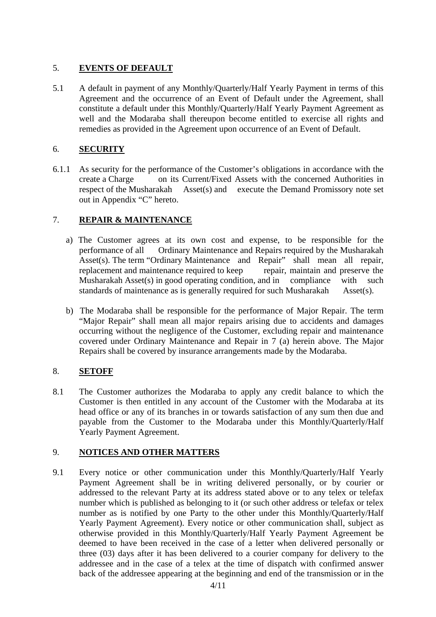# 5. **EVENTS OF DEFAULT**

5.1 A default in payment of any Monthly/Quarterly/Half Yearly Payment in terms of this Agreement and the occurrence of an Event of Default under the Agreement, shall constitute a default under this Monthly/Quarterly/Half Yearly Payment Agreement as well and the Modaraba shall thereupon become entitled to exercise all rights and remedies as provided in the Agreement upon occurrence of an Event of Default.

# 6. **SECURITY**

6.1.1 As security for the performance of the Customer's obligations in accordance with the create a Charge on its Current/Fixed Assets with the concerned Authorities in respect of the Musharakah Asset(s) and execute the Demand Promissory note set out in Appendix "C" hereto.

# 7. **REPAIR & MAINTENANCE**

- a) The Customer agrees at its own cost and expense, to be responsible for the performance of all Ordinary Maintenance and Repairs required by the Musharakah Asset(s). The term "Ordinary Maintenance and Repair" shall mean all repair, replacement and maintenance required to keep repair, maintain and preserve the Musharakah Asset(s) in good operating condition, and in compliance with such standards of maintenance as is generally required for such Musharakah Asset(s).
- b) The Modaraba shall be responsible for the performance of Major Repair. The term "Major Repair" shall mean all major repairs arising due to accidents and damages occurring without the negligence of the Customer, excluding repair and maintenance covered under Ordinary Maintenance and Repair in 7 (a) herein above. The Major Repairs shall be covered by insurance arrangements made by the Modaraba.

# 8. **SETOFF**

8.1 The Customer authorizes the Modaraba to apply any credit balance to which the Customer is then entitled in any account of the Customer with the Modaraba at its head office or any of its branches in or towards satisfaction of any sum then due and payable from the Customer to the Modaraba under this Monthly/Quarterly/Half Yearly Payment Agreement.

# 9. **NOTICES AND OTHER MATTERS**

9.1 Every notice or other communication under this Monthly/Quarterly/Half Yearly Payment Agreement shall be in writing delivered personally, or by courier or addressed to the relevant Party at its address stated above or to any telex or telefax number which is published as belonging to it (or such other address or telefax or telex number as is notified by one Party to the other under this Monthly/Quarterly/Half Yearly Payment Agreement). Every notice or other communication shall, subject as otherwise provided in this Monthly/Quarterly/Half Yearly Payment Agreement be deemed to have been received in the case of a letter when delivered personally or three (03) days after it has been delivered to a courier company for delivery to the addressee and in the case of a telex at the time of dispatch with confirmed answer back of the addressee appearing at the beginning and end of the transmission or in the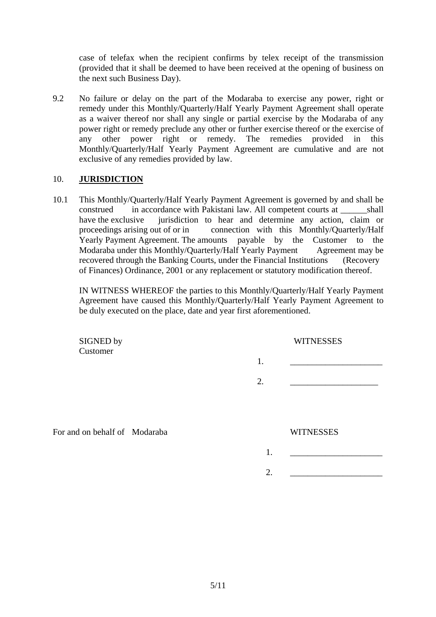case of telefax when the recipient confirms by telex receipt of the transmission (provided that it shall be deemed to have been received at the opening of business on the next such Business Day).

9.2 No failure or delay on the part of the Modaraba to exercise any power, right or remedy under this Monthly/Quarterly/Half Yearly Payment Agreement shall operate as a waiver thereof nor shall any single or partial exercise by the Modaraba of any power right or remedy preclude any other or further exercise thereof or the exercise of any other power right or remedy. The remedies provided in this Monthly/Quarterly/Half Yearly Payment Agreement are cumulative and are not exclusive of any remedies provided by law.

#### 10. **JURISDICTION**

10.1 This Monthly/Quarterly/Half Yearly Payment Agreement is governed by and shall be construed in accordance with Pakistani law. All competent courts at shall have the exclusive iurisdiction to hear and determine any action, claim or proceedings arising out of or in connection with this Monthly/Quarterly/Half Yearly Payment Agreement. The amounts payable by the Customer to the Modaraba under this Monthly/Quarterly/Half Yearly Payment Agreement may be recovered through the Banking Courts, under the Financial Institutions (Recovery of Finances) Ordinance, 2001 or any replacement or statutory modification thereof.

IN WITNESS WHEREOF the parties to this Monthly/Quarterly/Half Yearly Payment Agreement have caused this Monthly/Quarterly/Half Yearly Payment Agreement to be duly executed on the place, date and year first aforementioned.

| SIGNED by<br>Customer         | <b>WITNESSES</b> |  |
|-------------------------------|------------------|--|
|                               | 1.               |  |
|                               | 2.               |  |
|                               |                  |  |
| For and on behalf of Modaraba | <b>WITNESSES</b> |  |
|                               | 1.               |  |
|                               | $\overline{2}$ . |  |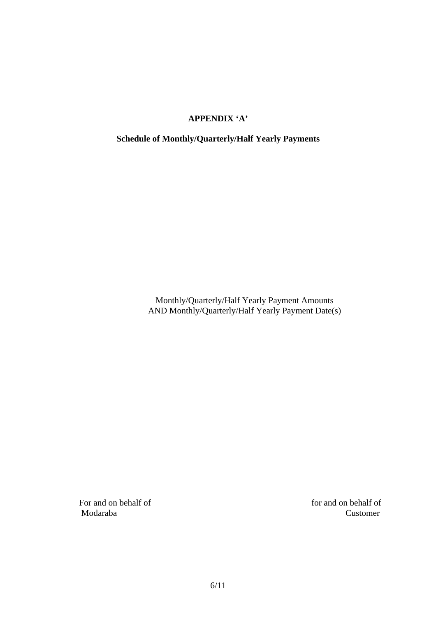# **APPENDIX 'A'**

# **Schedule of Monthly/Quarterly/Half Yearly Payments**

Monthly/Quarterly/Half Yearly Payment Amounts AND Monthly/Quarterly/Half Yearly Payment Date(s)

For and on behalf of for and on behalf of Modaraba Customer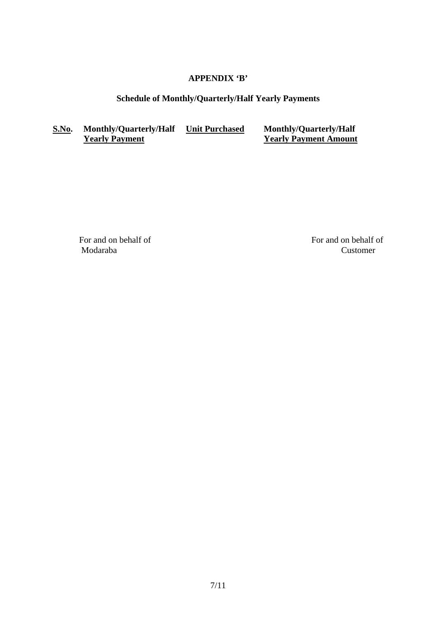# **APPENDIX 'B'**

# **Schedule of Monthly/Quarterly/Half Yearly Payments**

# **S.No. Monthly/Quarterly/Half <u>Unit Purchased</u> Monthly/Quarterly/Half <b>Yearly Payment Amount**

**Yearly Payment Amount** 

Modaraba Customer

For and on behalf of For and on behalf of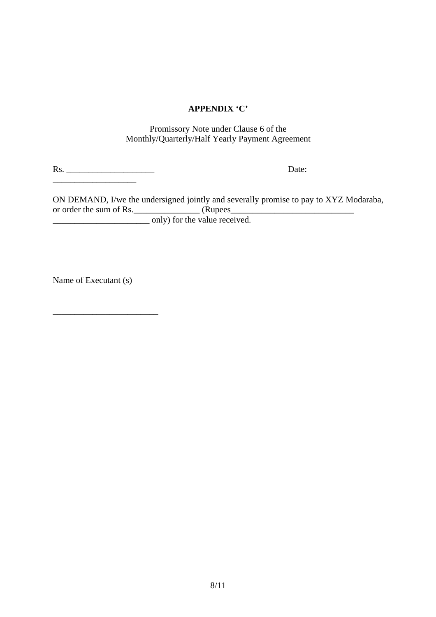## **APPENDIX 'C'**

Promissory Note under Clause 6 of the Monthly/Quarterly/Half Yearly Payment Agreement

Rs. \_\_\_\_\_\_\_\_\_\_\_\_\_\_\_\_\_\_\_\_ Date:

ON DEMAND, I/we the undersigned jointly and severally promise to pay to XYZ Modaraba, or order the sum of Rs.  $\frac{1}{2}$  (Rupees  $\frac{1}{2}$  (Rupees  $\frac{1}{2}$  and  $\frac{1}{2}$  and  $\frac{1}{2}$  and  $\frac{1}{2}$  and  $\frac{1}{2}$  and  $\frac{1}{2}$  and  $\frac{1}{2}$  and  $\frac{1}{2}$  and  $\frac{1}{2}$  and  $\frac{1}{2}$  and  $\frac{1}{2}$  and  $\frac{1}{2$ \_\_\_\_\_\_\_\_\_\_\_\_\_\_\_\_\_\_\_\_\_\_ only) for the value received.

Name of Executant (s)

\_\_\_\_\_\_\_\_\_\_\_\_\_\_\_\_\_\_\_\_\_\_\_\_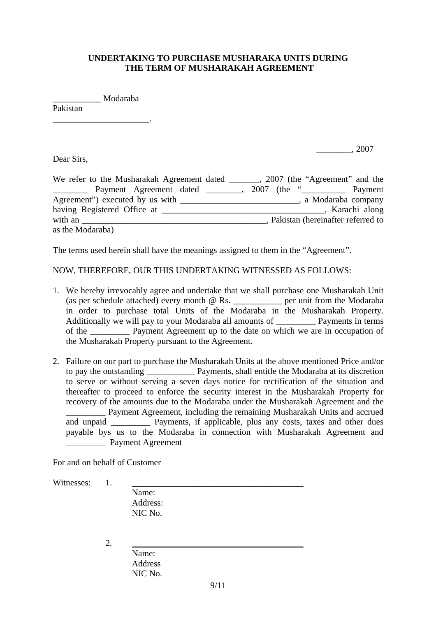#### **UNDERTAKING TO PURCHASE MUSHARAKA UNITS DURING THE TERM OF MUSHARAKAH AGREEMENT**

\_\_\_\_\_\_\_\_\_\_\_ Modaraba

\_\_\_\_\_\_\_\_\_\_\_\_\_\_\_\_\_\_\_\_\_\_.

Pakistan

Dear Sirs,

\_\_\_\_\_\_\_\_, 2007

| We refer to the Musharakah Agreement dated _______, 2007 (the "Agreement" and the |  |                                     |
|-----------------------------------------------------------------------------------|--|-------------------------------------|
| Payment Agreement dated                                                           |  | 2007 (the " <u> </u> Payment        |
| Agreement") executed by us with                                                   |  | , a Modaraba company                |
| having Registered Office at                                                       |  | Karachi along                       |
| with an                                                                           |  | , Pakistan (hereinafter referred to |
| as the Modaraba)                                                                  |  |                                     |

The terms used herein shall have the meanings assigned to them in the "Agreement".

NOW, THEREFORE, OUR THIS UNDERTAKING WITNESSED AS FOLLOWS:

- 1. We hereby irrevocably agree and undertake that we shall purchase one Musharakah Unit (as per schedule attached) every month @ Rs. \_\_\_\_\_\_\_\_\_\_\_ per unit from the Modaraba in order to purchase total Units of the Modaraba in the Musharakah Property. Additionally we will pay to your Modaraba all amounts of Payments in terms of the \_\_\_\_\_\_\_\_\_ Payment Agreement up to the date on which we are in occupation of the Musharakah Property pursuant to the Agreement.
- 2. Failure on our part to purchase the Musharakah Units at the above mentioned Price and/or to pay the outstanding \_\_\_\_\_\_\_\_\_\_\_ Payments, shall entitle the Modaraba at its discretion to serve or without serving a seven days notice for rectification of the situation and thereafter to proceed to enforce the security interest in the Musharakah Property for recovery of the amounts due to the Modaraba under the Musharakah Agreement and the \_\_\_\_\_\_\_\_\_ Payment Agreement, including the remaining Musharakah Units and accrued and unpaid Payments, if applicable, plus any costs, taxes and other dues payable bys us to the Modaraba in connection with Musharakah Agreement and \_\_\_\_\_\_\_\_\_ Payment Agreement

For and on behalf of Customer

Witnesses: 1.

 Name: Address: NIC No.

2. \_\_\_\_\_\_\_\_\_\_\_\_\_\_\_\_\_\_\_\_\_\_\_\_\_\_\_\_\_\_\_\_\_\_\_\_\_\_\_

| Name:   |
|---------|
| Address |
| NIC No. |
|         |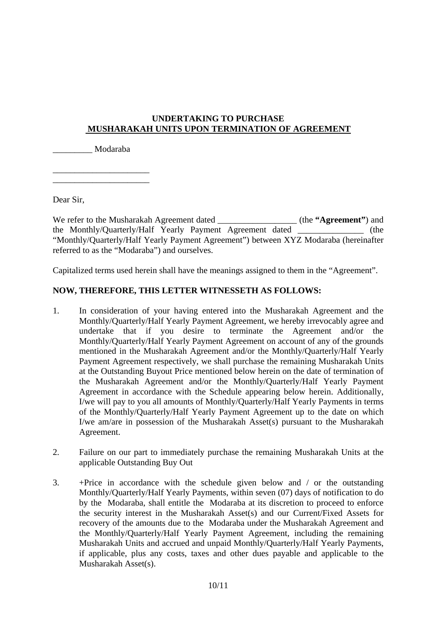# **UNDERTAKING TO PURCHASE MUSHARAKAH UNITS UPON TERMINATION OF AGREEMENT**

\_\_\_\_\_\_\_\_\_ Modaraba

\_\_\_\_\_\_\_\_\_\_\_\_\_\_\_\_\_\_\_\_\_\_

\_\_\_\_\_\_\_\_\_\_\_\_\_\_\_\_\_\_\_\_\_\_

Dear Sir,

We refer to the Musharakah Agreement dated \_\_\_\_\_\_\_\_\_\_\_\_\_\_\_\_\_\_ (the **"Agreement"**) and the Monthly/Quarterly/Half Yearly Payment Agreement dated \_\_\_\_\_\_\_\_\_\_\_\_\_\_\_ (the "Monthly/Quarterly/Half Yearly Payment Agreement") between XYZ Modaraba (hereinafter referred to as the "Modaraba") and ourselves.

Capitalized terms used herein shall have the meanings assigned to them in the "Agreement".

# **NOW, THEREFORE, THIS LETTER WITNESSETH AS FOLLOWS:**

- 1. In consideration of your having entered into the Musharakah Agreement and the Monthly/Quarterly/Half Yearly Payment Agreement, we hereby irrevocably agree and undertake that if you desire to terminate the Agreement and/or the Monthly/Quarterly/Half Yearly Payment Agreement on account of any of the grounds mentioned in the Musharakah Agreement and/or the Monthly/Quarterly/Half Yearly Payment Agreement respectively, we shall purchase the remaining Musharakah Units at the Outstanding Buyout Price mentioned below herein on the date of termination of the Musharakah Agreement and/or the Monthly/Quarterly/Half Yearly Payment Agreement in accordance with the Schedule appearing below herein. Additionally, I/we will pay to you all amounts of Monthly/Quarterly/Half Yearly Payments in terms of the Monthly/Quarterly/Half Yearly Payment Agreement up to the date on which I/we am/are in possession of the Musharakah Asset(s) pursuant to the Musharakah Agreement.
- 2. Failure on our part to immediately purchase the remaining Musharakah Units at the applicable Outstanding Buy Out
- 3. +Price in accordance with the schedule given below and / or the outstanding Monthly/Quarterly/Half Yearly Payments, within seven (07) days of notification to do by the Modaraba, shall entitle the Modaraba at its discretion to proceed to enforce the security interest in the Musharakah Asset(s) and our Current/Fixed Assets for recovery of the amounts due to the Modaraba under the Musharakah Agreement and the Monthly/Quarterly/Half Yearly Payment Agreement, including the remaining Musharakah Units and accrued and unpaid Monthly/Quarterly/Half Yearly Payments, if applicable, plus any costs, taxes and other dues payable and applicable to the Musharakah Asset(s).